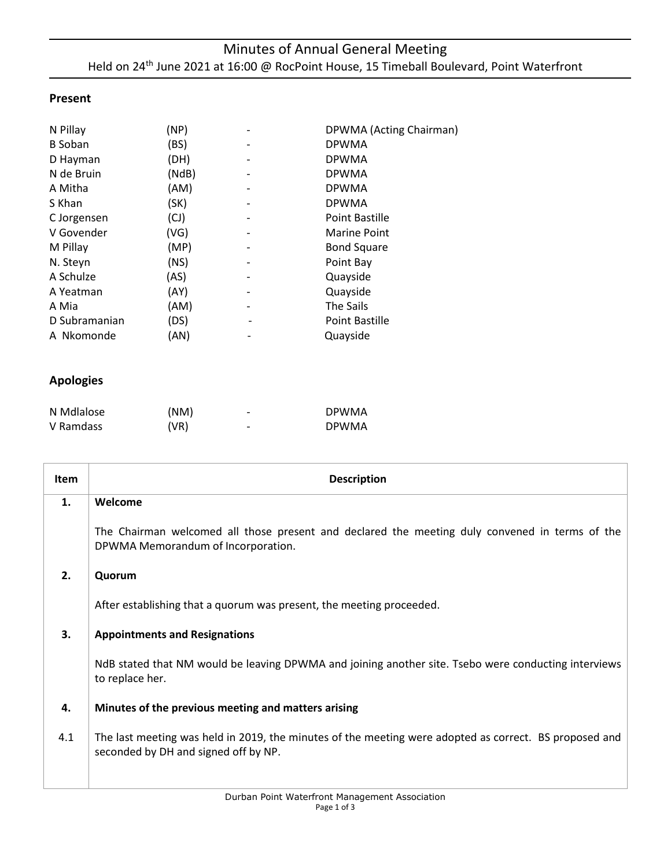### **Present**

| N Pillay       | (NP)  | DPWMA (Acting Chairman) |
|----------------|-------|-------------------------|
| <b>B</b> Soban | (BS)  | <b>DPWMA</b>            |
| D Hayman       | (DH)  | <b>DPWMA</b>            |
| N de Bruin     | (NdB) | <b>DPWMA</b>            |
| A Mitha        | (AM)  | <b>DPWMA</b>            |
| S Khan         | (SK)  | <b>DPWMA</b>            |
| C Jorgensen    | (CJ)  | Point Bastille          |
| V Govender     | (VG)  | <b>Marine Point</b>     |
| M Pillay       | (MP)  | <b>Bond Square</b>      |
| N. Steyn       | (NS)  | Point Bay               |
| A Schulze      | (AS)  | Quayside                |
| A Yeatman      | (AY)  | Quayside                |
| A Mia          | (AM)  | The Sails               |
| D Subramanian  | (DS)  | Point Bastille          |
| A Nkomonde     | (AN)  | Quayside                |

### **Apologies**

| N Mdlalose | (NM) | - | <b>DPWMA</b> |
|------------|------|---|--------------|
| V Ramdass  | (VR) | - | <b>DPWMA</b> |

| Item | <b>Description</b>                                                                                                                             |
|------|------------------------------------------------------------------------------------------------------------------------------------------------|
| 1.   | Welcome                                                                                                                                        |
|      | The Chairman welcomed all those present and declared the meeting duly convened in terms of the<br>DPWMA Memorandum of Incorporation.           |
| 2.   | Quorum                                                                                                                                         |
|      | After establishing that a quorum was present, the meeting proceeded.                                                                           |
| 3.   | <b>Appointments and Resignations</b>                                                                                                           |
|      | NdB stated that NM would be leaving DPWMA and joining another site. Tsebo were conducting interviews<br>to replace her.                        |
| 4.   | Minutes of the previous meeting and matters arising                                                                                            |
| 4.1  | The last meeting was held in 2019, the minutes of the meeting were adopted as correct. BS proposed and<br>seconded by DH and signed off by NP. |
|      |                                                                                                                                                |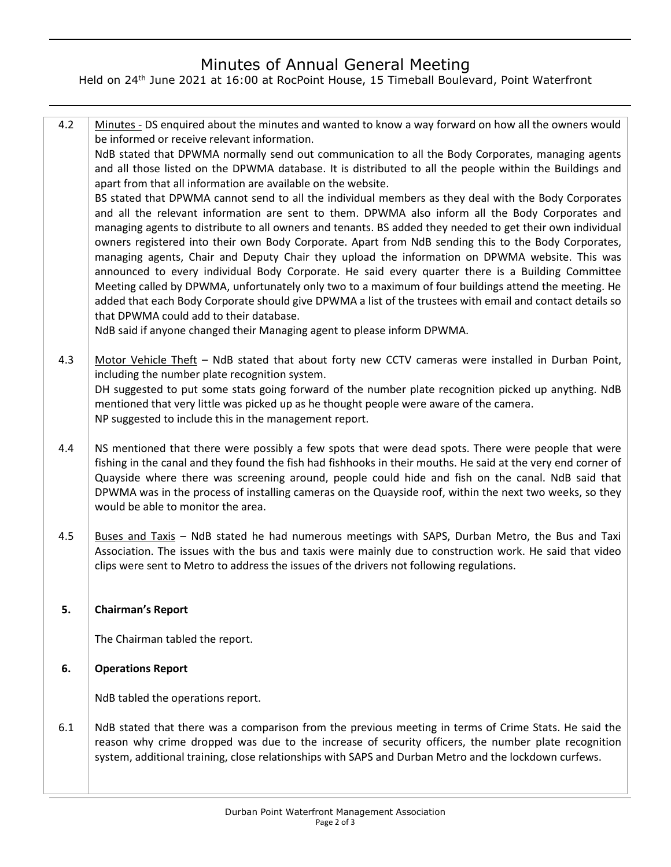# Minutes of Annual General Meeting

Held on 24<sup>th</sup> June 2021 at 16:00 at RocPoint House, 15 Timeball Boulevard, Point Waterfront

4.2 Minutes - DS enquired about the minutes and wanted to know a way forward on how all the owners would be informed or receive relevant information. NdB stated that DPWMA normally send out communication to all the Body Corporates, managing agents and all those listed on the DPWMA database. It is distributed to all the people within the Buildings and apart from that all information are available on the website. BS stated that DPWMA cannot send to all the individual members as they deal with the Body Corporates and all the relevant information are sent to them. DPWMA also inform all the Body Corporates and managing agents to distribute to all owners and tenants. BS added they needed to get their own individual owners registered into their own Body Corporate. Apart from NdB sending this to the Body Corporates, managing agents, Chair and Deputy Chair they upload the information on DPWMA website. This was announced to every individual Body Corporate. He said every quarter there is a Building Committee Meeting called by DPWMA, unfortunately only two to a maximum of four buildings attend the meeting. He added that each Body Corporate should give DPWMA a list of the trustees with email and contact details so that DPWMA could add to their database.

NdB said if anyone changed their Managing agent to please inform DPWMA.

- 4.3 Motor Vehicle Theft - NdB stated that about forty new CCTV cameras were installed in Durban Point, including the number plate recognition system. DH suggested to put some stats going forward of the number plate recognition picked up anything. NdB mentioned that very little was picked up as he thought people were aware of the camera. NP suggested to include this in the management report.
- 4.4 NS mentioned that there were possibly a few spots that were dead spots. There were people that were fishing in the canal and they found the fish had fishhooks in their mouths. He said at the very end corner of Quayside where there was screening around, people could hide and fish on the canal. NdB said that DPWMA was in the process of installing cameras on the Quayside roof, within the next two weeks, so they would be able to monitor the area.
- 4.5 Buses and Taxis – NdB stated he had numerous meetings with SAPS, Durban Metro, the Bus and Taxi Association. The issues with the bus and taxis were mainly due to construction work. He said that video clips were sent to Metro to address the issues of the drivers not following regulations.

#### **5. Chairman's Report**

The Chairman tabled the report.

#### **6. Operations Report**

NdB tabled the operations report.

6.1 NdB stated that there was a comparison from the previous meeting in terms of Crime Stats. He said the reason why crime dropped was due to the increase of security officers, the number plate recognition system, additional training, close relationships with SAPS and Durban Metro and the lockdown curfews.